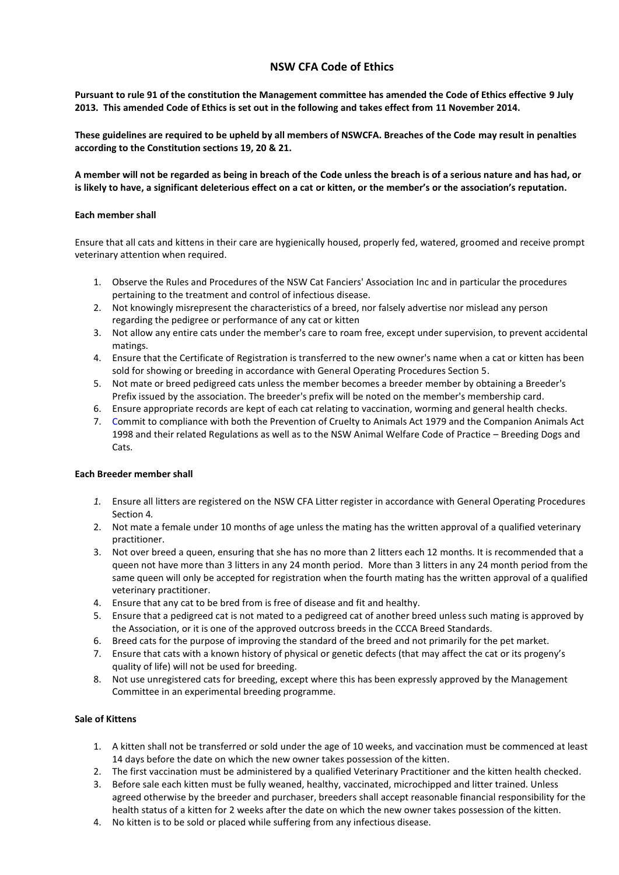# **NSW CFA Code of Ethics**

**Pursuant to rule 91 of the constitution the Management committee has amended the Code of Ethics effective 9 July 2013. This amended Code of Ethics is set out in the following and takes effect from 11 November 2014.** 

**These guidelines are required to be upheld by all members of NSWCFA. Breaches of the Code may result in penalties according to the Constitution sections 19, 20 & 21.**

**A member will not be regarded as being in breach of the Code unless the breach is of a serious nature and has had, or is likely to have, a significant deleterious effect on a cat or kitten, or the member's or the association's reputation.**

### **Each member shall**

Ensure that all cats and kittens in their care are hygienically housed, properly fed, watered, groomed and receive prompt veterinary attention when required.

- 1. Observe the Rules and Procedures of the NSW Cat Fanciers' Association Inc and in particular the procedures pertaining to the treatment and control of infectious disease.
- 2. Not knowingly misrepresent the characteristics of a breed, nor falsely advertise nor mislead any person regarding the pedigree or performance of any cat or kitten
- 3. Not allow any entire cats under the member's care to roam free, except under supervision, to prevent accidental matings.
- 4. Ensure that the Certificate of Registration is transferred to the new owner's name when a cat or kitten has been sold for showing or breeding in accordance with General Operating Procedures Section 5.
- 5. Not mate or breed pedigreed cats unless the member becomes a breeder member by obtaining a Breeder's Prefix issued by the association. The breeder's prefix will be noted on the member's membership card.
- 6. Ensure appropriate records are kept of each cat relating to vaccination, worming and general health checks.
- 7. Commit to compliance with both the Prevention of Cruelty to Animals Act 1979 and the Companion Animals Act 1998 and their related Regulations as well as to the NSW Animal Welfare Code of Practice – Breeding Dogs and Cats.

### **Each Breeder member shall**

- *1.* Ensure all litters are registered on the NSW CFA Litter register in accordance with General Operating Procedures Section 4*.*
- 2. Not mate a female under 10 months of age unless the mating has the written approval of a qualified veterinary practitioner.
- 3. Not over breed a queen, ensuring that she has no more than 2 litters each 12 months. It is recommended that a queen not have more than 3 litters in any 24 month period. More than 3 litters in any 24 month period from the same queen will only be accepted for registration when the fourth mating has the written approval of a qualified veterinary practitioner.
- 4. Ensure that any cat to be bred from is free of disease and fit and healthy.
- 5. Ensure that a pedigreed cat is not mated to a pedigreed cat of another breed unless such mating is approved by the Association, or it is one of the approved outcross breeds in the CCCA Breed Standards.
- 6. Breed cats for the purpose of improving the standard of the breed and not primarily for the pet market.
- 7. Ensure that cats with a known history of physical or genetic defects (that may affect the cat or its progeny's quality of life) will not be used for breeding.
- 8. Not use unregistered cats for breeding, except where this has been expressly approved by the Management Committee in an experimental breeding programme.

# **Sale of Kittens**

- 1. A kitten shall not be transferred or sold under the age of 10 weeks, and vaccination must be commenced at least 14 days before the date on which the new owner takes possession of the kitten.
- 2. The first vaccination must be administered by a qualified Veterinary Practitioner and the kitten health checked.
- 3. Before sale each kitten must be fully weaned, healthy, vaccinated, microchipped and litter trained. Unless agreed otherwise by the breeder and purchaser, breeders shall accept reasonable financial responsibility for the health status of a kitten for 2 weeks after the date on which the new owner takes possession of the kitten.
- 4. No kitten is to be sold or placed while suffering from any infectious disease.